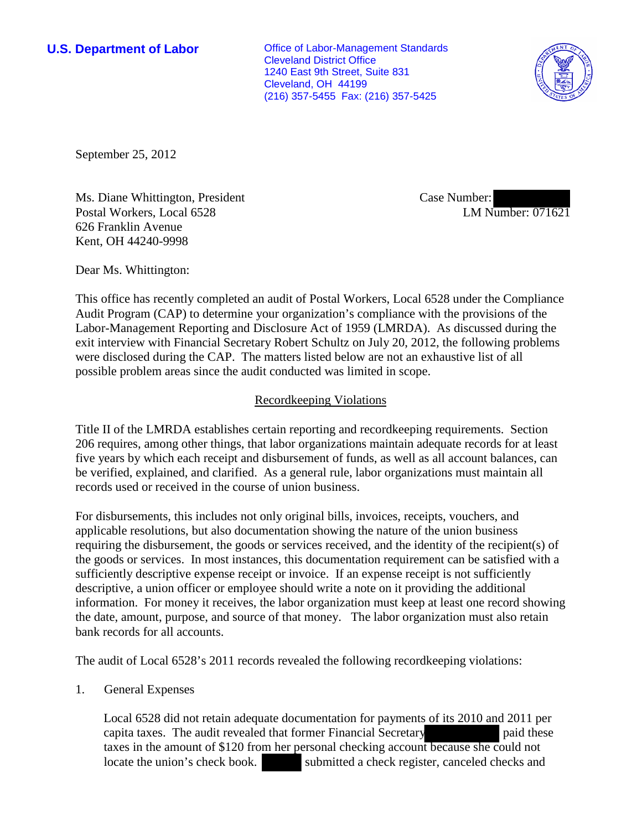**U.S. Department of Labor Office of Labor-Management Standards** Cleveland District Office 1240 East 9th Street, Suite 831 Cleveland, OH 44199 (216) 357-5455 Fax: (216) 357-5425



September 25, 2012

Ms. Diane Whittington, President Postal Workers, Local 6528 626 Franklin Avenue Kent, OH 44240-9998

Case Number: LM Number: 071621

Dear Ms. Whittington:

This office has recently completed an audit of Postal Workers, Local 6528 under the Compliance Audit Program (CAP) to determine your organization's compliance with the provisions of the Labor-Management Reporting and Disclosure Act of 1959 (LMRDA). As discussed during the exit interview with Financial Secretary Robert Schultz on July 20, 2012, the following problems were disclosed during the CAP. The matters listed below are not an exhaustive list of all possible problem areas since the audit conducted was limited in scope.

## Recordkeeping Violations

Title II of the LMRDA establishes certain reporting and recordkeeping requirements. Section 206 requires, among other things, that labor organizations maintain adequate records for at least five years by which each receipt and disbursement of funds, as well as all account balances, can be verified, explained, and clarified. As a general rule, labor organizations must maintain all records used or received in the course of union business.

For disbursements, this includes not only original bills, invoices, receipts, vouchers, and applicable resolutions, but also documentation showing the nature of the union business requiring the disbursement, the goods or services received, and the identity of the recipient(s) of the goods or services. In most instances, this documentation requirement can be satisfied with a sufficiently descriptive expense receipt or invoice. If an expense receipt is not sufficiently descriptive, a union officer or employee should write a note on it providing the additional information. For money it receives, the labor organization must keep at least one record showing the date, amount, purpose, and source of that money. The labor organization must also retain bank records for all accounts.

The audit of Local 6528's 2011 records revealed the following recordkeeping violations:

1. General Expenses

Local 6528 did not retain adequate documentation for payments of its 2010 and 2011 per capita taxes. The audit revealed that former Financial Secretary paid these taxes in the amount of \$120 from her personal checking account because she could not locate the union's check book. submitted a check register, canceled checks and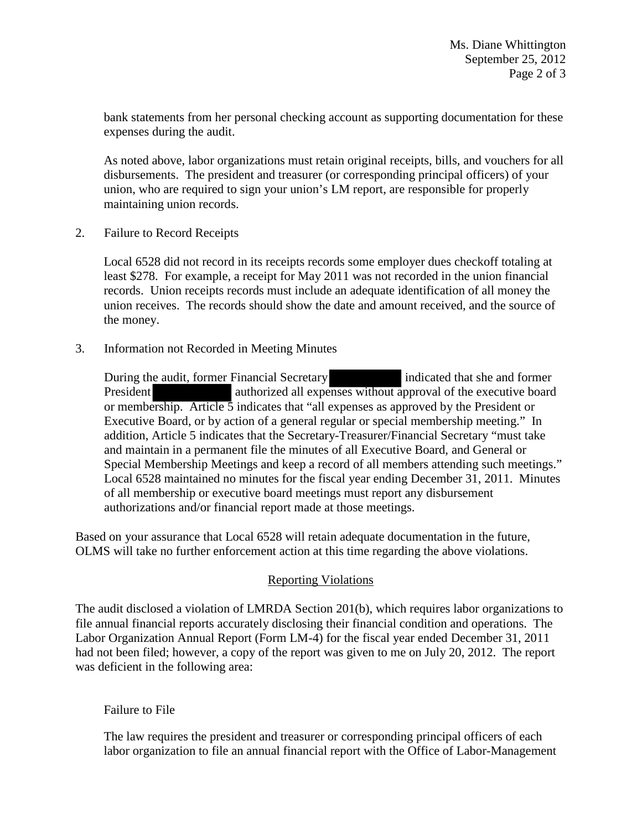bank statements from her personal checking account as supporting documentation for these expenses during the audit.

As noted above, labor organizations must retain original receipts, bills, and vouchers for all disbursements. The president and treasurer (or corresponding principal officers) of your union, who are required to sign your union's LM report, are responsible for properly maintaining union records.

2. Failure to Record Receipts

Local 6528 did not record in its receipts records some employer dues checkoff totaling at least \$278. For example, a receipt for May 2011 was not recorded in the union financial records. Union receipts records must include an adequate identification of all money the union receives. The records should show the date and amount received, and the source of the money.

3. Information not Recorded in Meeting Minutes

During the audit, former Financial Secretary **indicated that she and former** President authorized all expenses without approval of the executive board or membership. Article 5 indicates that "all expenses as approved by the President or Executive Board, or by action of a general regular or special membership meeting." In addition, Article 5 indicates that the Secretary-Treasurer/Financial Secretary "must take and maintain in a permanent file the minutes of all Executive Board, and General or Special Membership Meetings and keep a record of all members attending such meetings." Local 6528 maintained no minutes for the fiscal year ending December 31, 2011. Minutes of all membership or executive board meetings must report any disbursement authorizations and/or financial report made at those meetings.

Based on your assurance that Local 6528 will retain adequate documentation in the future, OLMS will take no further enforcement action at this time regarding the above violations.

## Reporting Violations

The audit disclosed a violation of LMRDA Section 201(b), which requires labor organizations to file annual financial reports accurately disclosing their financial condition and operations. The Labor Organization Annual Report (Form LM-4) for the fiscal year ended December 31, 2011 had not been filed; however, a copy of the report was given to me on July 20, 2012. The report was deficient in the following area:

## Failure to File

The law requires the president and treasurer or corresponding principal officers of each labor organization to file an annual financial report with the Office of Labor-Management